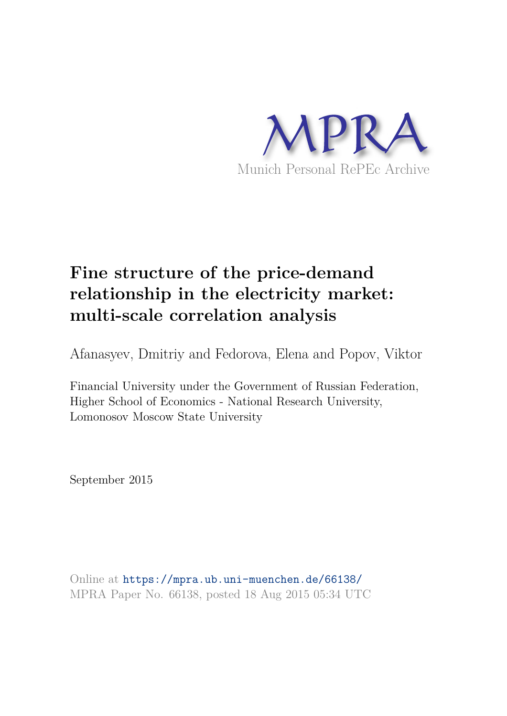

# **Fine structure of the price-demand relationship in the electricity market: multi-scale correlation analysis**

Afanasyev, Dmitriy and Fedorova, Elena and Popov, Viktor

Financial University under the Government of Russian Federation, Higher School of Economics - National Research University, Lomonosov Moscow State University

September 2015

Online at https://mpra.ub.uni-muenchen.de/66138/ MPRA Paper No. 66138, posted 18 Aug 2015 05:34 UTC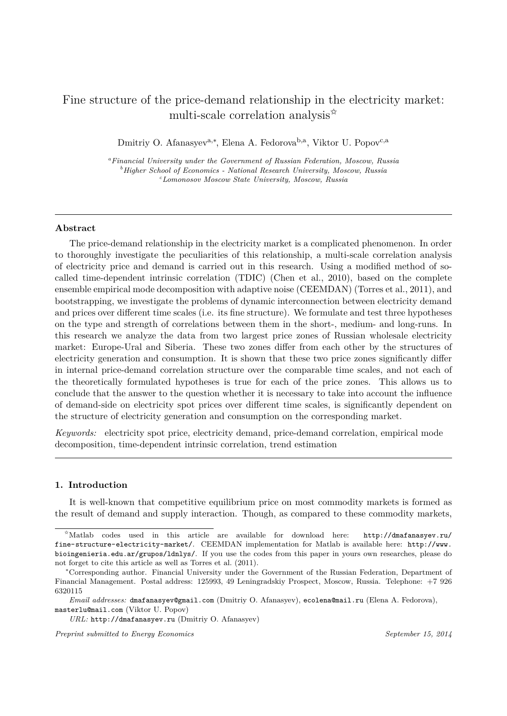## Fine structure of the price-demand relationship in the electricity market: multi-scale correlation analysis<sup> $\tilde{\mathbf{x}}$ </sup>

Dmitriy O. Afanasyev<sup>a,∗</sup>, Elena A. Fedorova<sup>b,a</sup>, Viktor U. Popov<sup>c,a</sup>

*<sup>a</sup>Financial University under the Government of Russian Federation, Moscow, Russia <sup>b</sup>Higher School of Economics - National Research University, Moscow, Russia <sup>c</sup>Lomonosov Moscow State University, Moscow, Russia*

### **Abstract**

The price-demand relationship in the electricity market is a complicated phenomenon. In order to thoroughly investigate the peculiarities of this relationship, a multi-scale correlation analysis of electricity price and demand is carried out in this research. Using a modified method of socalled time-dependent intrinsic correlation (TDIC) (Chen et al., 2010), based on the complete ensemble empirical mode decomposition with adaptive noise (CEEMDAN) (Torres et al., 2011), and bootstrapping, we investigate the problems of dynamic interconnection between electricity demand and prices over different time scales (i.e. its fine structure). We formulate and test three hypotheses on the type and strength of correlations between them in the short-, medium- and long-runs. In this research we analyze the data from two largest price zones of Russian wholesale electricity market: Europe-Ural and Siberia. These two zones differ from each other by the structures of electricity generation and consumption. It is shown that these two price zones significantly differ in internal price-demand correlation structure over the comparable time scales, and not each of the theoretically formulated hypotheses is true for each of the price zones. This allows us to conclude that the answer to the question whether it is necessary to take into account the influence of demand-side on electricity spot prices over different time scales, is significantly dependent on the structure of electricity generation and consumption on the corresponding market.

*Keywords:* electricity spot price, electricity demand, price-demand correlation, empirical mode decomposition, time-dependent intrinsic correlation, trend estimation

## **1. Introduction**

It is well-known that competitive equilibrium price on most commodity markets is formed as the result of demand and supply interaction. Though, as compared to these commodity markets,

*URL:* http://dmafanasyev.ru (Dmitriy O. Afanasyev)

 $*$ Matlab codes used in this article are available for download here: http://dmafanasyev.ru/ fine-structure-electricity-market/. CEEMDAN implementation for Matlab is available here: http://www. bioingenieria.edu.ar/grupos/ldnlys/. If you use the codes from this paper in yours own researches, please do not forget to cite this article as well as Torres et al. (2011).

<sup>∗</sup>Corresponding author. Financial University under the Government of the Russian Federation, Department of Financial Management. Postal address: 125993, 49 Leningradskiy Prospect, Moscow, Russia. Telephone: +7 926 6320115

*Email addresses:* dmafanasyev@gmail.com (Dmitriy O. Afanasyev), ecolena@mail.ru (Elena A. Fedorova), masterlu@mail.com (Viktor U. Popov)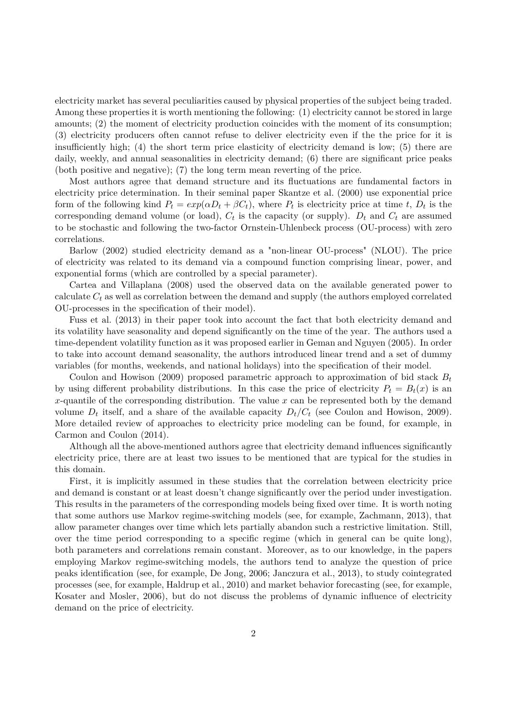electricity market has several peculiarities caused by physical properties of the subject being traded. Among these properties it is worth mentioning the following: (1) electricity cannot be stored in large amounts; (2) the moment of electricity production coincides with the moment of its consumption; (3) electricity producers often cannot refuse to deliver electricity even if the the price for it is insufficiently high; (4) the short term price elasticity of electricity demand is low; (5) there are daily, weekly, and annual seasonalities in electricity demand; (6) there are significant price peaks (both positive and negative); (7) the long term mean reverting of the price.

Most authors agree that demand structure and its fluctuations are fundamental factors in electricity price determination. In their seminal paper Skantze et al. (2000) use exponential price form of the following kind  $P_t = exp(\alpha D_t + \beta C_t)$ , where  $P_t$  is electricity price at time *t*,  $D_t$  is the corresponding demand volume (or load),  $C_t$  is the capacity (or supply).  $D_t$  and  $C_t$  are assumed to be stochastic and following the two-factor Ornstein-Uhlenbeck process (OU-process) with zero correlations.

Barlow (2002) studied electricity demand as a "non-linear OU-process" (NLOU). The price of electricity was related to its demand via a compound function comprising linear, power, and exponential forms (which are controlled by a special parameter).

Cartea and Villaplana (2008) used the observed data on the available generated power to calculate  $C<sub>t</sub>$  as well as correlation between the demand and supply (the authors employed correlated OU-processes in the specification of their model).

Fuss et al. (2013) in their paper took into account the fact that both electricity demand and its volatility have seasonality and depend significantly on the time of the year. The authors used a time-dependent volatility function as it was proposed earlier in Geman and Nguyen (2005). In order to take into account demand seasonality, the authors introduced linear trend and a set of dummy variables (for months, weekends, and national holidays) into the specification of their model.

Coulon and Howison (2009) proposed parametric approach to approximation of bid stack *B<sup>t</sup>* by using different probability distributions. In this case the price of electricity  $P_t = B_t(x)$  is an *x*-quantile of the corresponding distribution. The value *x* can be represented both by the demand volume  $D_t$  itself, and a share of the available capacity  $D_t/C_t$  (see Coulon and Howison, 2009). More detailed review of approaches to electricity price modeling can be found, for example, in Carmon and Coulon (2014).

Although all the above-mentioned authors agree that electricity demand influences significantly electricity price, there are at least two issues to be mentioned that are typical for the studies in this domain.

First, it is implicitly assumed in these studies that the correlation between electricity price and demand is constant or at least doesn't change significantly over the period under investigation. This results in the parameters of the corresponding models being fixed over time. It is worth noting that some authors use Markov regime-switching models (see, for example, Zachmann, 2013), that allow parameter changes over time which lets partially abandon such a restrictive limitation. Still, over the time period corresponding to a specific regime (which in general can be quite long), both parameters and correlations remain constant. Moreover, as to our knowledge, in the papers employing Markov regime-switching models, the authors tend to analyze the question of price peaks identification (see, for example, De Jong, 2006; Janczura et al., 2013), to study cointegrated processes (see, for example, Haldrup et al., 2010) and market behavior forecasting (see, for example, Kosater and Mosler, 2006), but do not discuss the problems of dynamic influence of electricity demand on the price of electricity.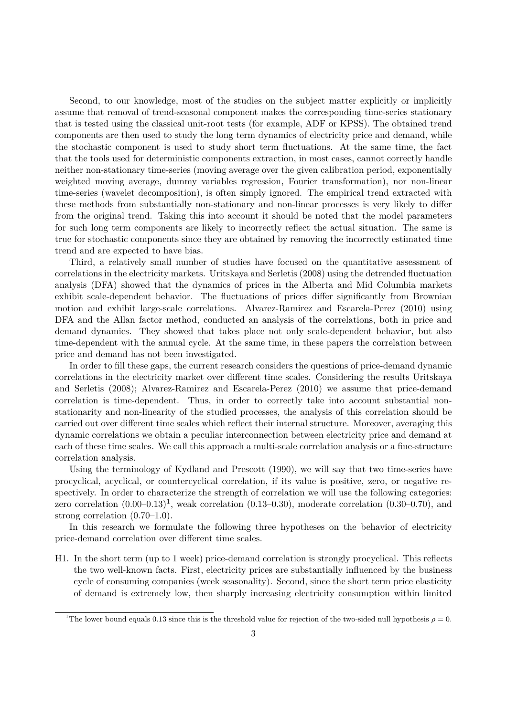Second, to our knowledge, most of the studies on the subject matter explicitly or implicitly assume that removal of trend-seasonal component makes the corresponding time-series stationary that is tested using the classical unit-root tests (for example, ADF or KPSS). The obtained trend components are then used to study the long term dynamics of electricity price and demand, while the stochastic component is used to study short term fluctuations. At the same time, the fact that the tools used for deterministic components extraction, in most cases, cannot correctly handle neither non-stationary time-series (moving average over the given calibration period, exponentially weighted moving average, dummy variables regression, Fourier transformation), nor non-linear time-series (wavelet decomposition), is often simply ignored. The empirical trend extracted with these methods from substantially non-stationary and non-linear processes is very likely to differ from the original trend. Taking this into account it should be noted that the model parameters for such long term components are likely to incorrectly reflect the actual situation. The same is true for stochastic components since they are obtained by removing the incorrectly estimated time trend and are expected to have bias.

Third, a relatively small number of studies have focused on the quantitative assessment of correlations in the electricity markets. Uritskaya and Serletis (2008) using the detrended fluctuation analysis (DFA) showed that the dynamics of prices in the Alberta and Mid Columbia markets exhibit scale-dependent behavior. The fluctuations of prices differ significantly from Brownian motion and exhibit large-scale correlations. Alvarez-Ramirez and Escarela-Perez (2010) using DFA and the Allan factor method, conducted an analysis of the correlations, both in price and demand dynamics. They showed that takes place not only scale-dependent behavior, but also time-dependent with the annual cycle. At the same time, in these papers the correlation between price and demand has not been investigated.

In order to fill these gaps, the current research considers the questions of price-demand dynamic correlations in the electricity market over different time scales. Considering the results Uritskaya and Serletis (2008); Alvarez-Ramirez and Escarela-Perez (2010) we assume that price-demand correlation is time-dependent. Thus, in order to correctly take into account substantial nonstationarity and non-linearity of the studied processes, the analysis of this correlation should be carried out over different time scales which reflect their internal structure. Moreover, averaging this dynamic correlations we obtain a peculiar interconnection between electricity price and demand at each of these time scales. We call this approach a multi-scale correlation analysis or a fine-structure correlation analysis.

Using the terminology of Kydland and Prescott (1990), we will say that two time-series have procyclical, acyclical, or countercyclical correlation, if its value is positive, zero, or negative respectively. In order to characterize the strength of correlation we will use the following categories: zero correlation  $(0.00-0.13)^1$ , weak correlation  $(0.13-0.30)$ , moderate correlation  $(0.30-0.70)$ , and strong correlation (0.70–1.0).

In this research we formulate the following three hypotheses on the behavior of electricity price-demand correlation over different time scales.

H1. In the short term (up to 1 week) price-demand correlation is strongly procyclical. This reflects the two well-known facts. First, electricity prices are substantially influenced by the business cycle of consuming companies (week seasonality). Second, since the short term price elasticity of demand is extremely low, then sharply increasing electricity consumption within limited

<sup>&</sup>lt;sup>1</sup>The lower bound equals 0.13 since this is the threshold value for rejection of the two-sided null hypothesis  $\rho = 0$ .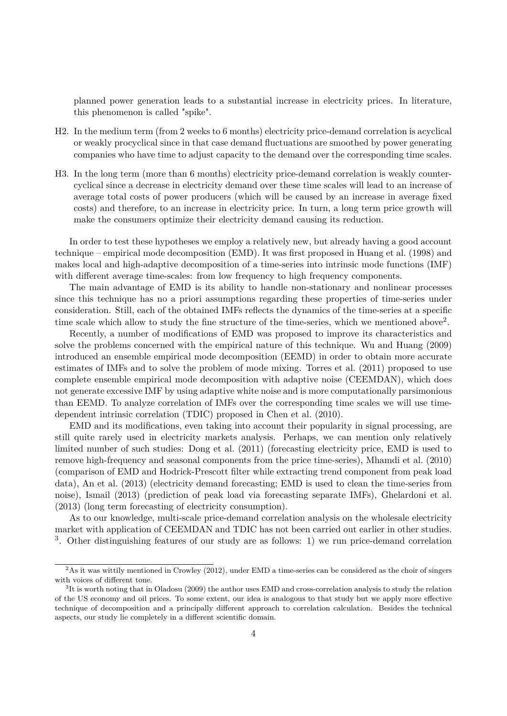planned power generation leads to a substantial increase in electricity prices. In literature, this phenomenon is called "spike".

- H2. In the medium term (from 2 weeks to 6 months) electricity price-demand correlation is acyclical or weakly procyclical since in that case demand fluctuations are smoothed by power generating companies who have time to adjust capacity to the demand over the corresponding time scales.
- H3. In the long term (more than 6 months) electricity price-demand correlation is weakly countercyclical since a decrease in electricity demand over these time scales will lead to an increase of average total costs of power producers (which will be caused by an increase in average fixed costs) and therefore, to an increase in electricity price. In turn, a long term price growth will make the consumers optimize their electricity demand causing its reduction.

In order to test these hypotheses we employ a relatively new, but already having a good account technique – empirical mode decomposition (EMD). It was first proposed in Huang et al. (1998) and makes local and high-adaptive decomposition of a time-series into intrinsic mode functions (IMF) with different average time-scales: from low frequency to high frequency components.

The main advantage of EMD is its ability to handle non-stationary and nonlinear processes since this technique has no a priori assumptions regarding these properties of time-series under consideration. Still, each of the obtained IMFs reflects the dynamics of the time-series at a specific time scale which allow to study the fine structure of the time-series, which we mentioned above<sup>2</sup>.

Recently, a number of modifications of EMD was proposed to improve its characteristics and solve the problems concerned with the empirical nature of this technique. Wu and Huang (2009) introduced an ensemble empirical mode decomposition (EEMD) in order to obtain more accurate estimates of IMFs and to solve the problem of mode mixing. Torres et al. (2011) proposed to use complete ensemble empirical mode decomposition with adaptive noise (CEEMDAN), which does not generate excessive IMF by using adaptive white noise and is more computationally parsimonious than EEMD. To analyze correlation of IMFs over the corresponding time scales we will use timedependent intrinsic correlation (TDIC) proposed in Chen et al. (2010).

EMD and its modifications, even taking into account their popularity in signal processing, are still quite rarely used in electricity markets analysis. Perhaps, we can mention only relatively limited number of such studies: Dong et al. (2011) (forecasting electricity price, EMD is used to remove high-frequency and seasonal components from the price time-series), Mhamdi et al. (2010) (comparison of EMD and Hodrick-Prescott filter while extracting trend component from peak load data), An et al. (2013) (electricity demand forecasting; EMD is used to clean the time-series from noise), Ismail (2013) (prediction of peak load via forecasting separate IMFs), Ghelardoni et al. (2013) (long term forecasting of electricity consumption).

As to our knowledge, multi-scale price-demand correlation analysis on the wholesale electricity market with application of CEEMDAN and TDIC has not been carried out earlier in other studies. <sup>3</sup>. Other distinguishing features of our study are as follows: 1) we run price-demand correlation

 $2\text{As it was is mentioned in the C.}$  (2012), under EMD a time-series can be considered as the choir of singers with voices of different tone.

<sup>&</sup>lt;sup>3</sup>It is worth noting that in Oladosu (2009) the author uses EMD and cross-correlation analysis to study the relation of the US economy and oil prices. To some extent, our idea is analogous to that study but we apply more effective technique of decomposition and a principally different approach to correlation calculation. Besides the technical aspects, our study lie completely in a different scientific domain.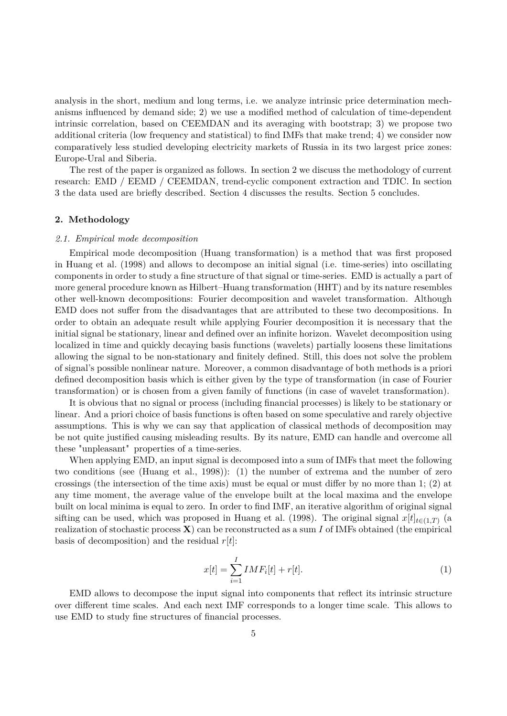analysis in the short, medium and long terms, i.e. we analyze intrinsic price determination mechanisms influenced by demand side; 2) we use a modified method of calculation of time-dependent intrinsic correlation, based on CEEMDAN and its averaging with bootstrap; 3) we propose two additional criteria (low frequency and statistical) to find IMFs that make trend; 4) we consider now comparatively less studied developing electricity markets of Russia in its two largest price zones: Europe-Ural and Siberia.

The rest of the paper is organized as follows. In section 2 we discuss the methodology of current research: EMD / EEMD / CEEMDAN, trend-cyclic component extraction and TDIC. In section 3 the data used are briefly described. Section 4 discusses the results. Section 5 concludes.

## **2. Methodology**

## *2.1. Empirical mode decomposition*

Empirical mode decomposition (Huang transformation) is a method that was first proposed in Huang et al. (1998) and allows to decompose an initial signal (i.e. time-series) into oscillating components in order to study a fine structure of that signal or time-series. EMD is actually a part of more general procedure known as Hilbert–Huang transformation (HHT) and by its nature resembles other well-known decompositions: Fourier decomposition and wavelet transformation. Although EMD does not suffer from the disadvantages that are attributed to these two decompositions. In order to obtain an adequate result while applying Fourier decomposition it is necessary that the initial signal be stationary, linear and defined over an infinite horizon. Wavelet decomposition using localized in time and quickly decaying basis functions (wavelets) partially loosens these limitations allowing the signal to be non-stationary and finitely defined. Still, this does not solve the problem of signal's possible nonlinear nature. Moreover, a common disadvantage of both methods is a priori defined decomposition basis which is either given by the type of transformation (in case of Fourier transformation) or is chosen from a given family of functions (in case of wavelet transformation).

It is obvious that no signal or process (including financial processes) is likely to be stationary or linear. And a priori choice of basis functions is often based on some speculative and rarely objective assumptions. This is why we can say that application of classical methods of decomposition may be not quite justified causing misleading results. By its nature, EMD can handle and overcome all these "unpleasant" properties of a time-series.

When applying EMD, an input signal is decomposed into a sum of IMFs that meet the following two conditions (see (Huang et al., 1998)): (1) the number of extrema and the number of zero crossings (the intersection of the time axis) must be equal or must differ by no more than 1; (2) at any time moment, the average value of the envelope built at the local maxima and the envelope built on local minima is equal to zero. In order to find IMF, an iterative algorithm of original signal sifting can be used, which was proposed in Huang et al. (1998). The original signal  $x[t]_{t \in (1,T)}$  (a realization of stochastic process  $\mathbf{X}$ ) can be reconstructed as a sum *I* of IMFs obtained (the empirical basis of decomposition) and the residual *r*[*t*]:

$$
x[t] = \sum_{i=1}^{I} IMF_i[t] + r[t].
$$
\n(1)

EMD allows to decompose the input signal into components that reflect its intrinsic structure over different time scales. And each next IMF corresponds to a longer time scale. This allows to use EMD to study fine structures of financial processes.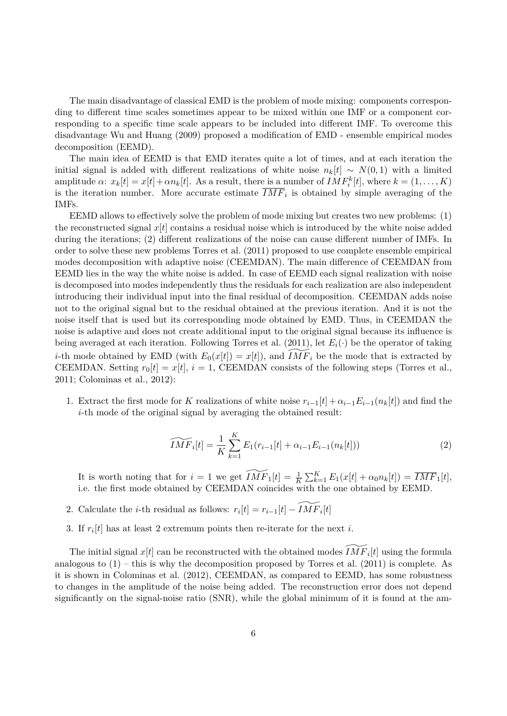The main disadvantage of classical EMD is the problem of mode mixing: components corresponding to different time scales sometimes appear to be mixed within one IMF or a component corresponding to a specific time scale appears to be included into different IMF. To overcome this disadvantage Wu and Huang (2009) proposed a modification of EMD - ensemble empirical modes decomposition (EEMD).

The main idea of EEMD is that EMD iterates quite a lot of times, and at each iteration the initial signal is added with different realizations of white noise  $n_k[t] \sim N(0,1)$  with a limited amplitude  $\alpha$ :  $x_k[t] = x[t] + \alpha n_k[t]$ . As a result, there is a number of  $IMF_i^k[t]$ , where  $k = (1, \ldots, K)$ is the iteration number. More accurate estimate *IMF<sup>i</sup>* is obtained by simple averaging of the IMFs.

EEMD allows to effectively solve the problem of mode mixing but creates two new problems: (1) the reconstructed signal  $x[t]$  contains a residual noise which is introduced by the white noise added during the iterations; (2) different realizations of the noise can cause different number of IMFs. In order to solve these new problems Torres et al. (2011) proposed to use complete ensemble empirical modes decomposition with adaptive noise (CEEMDAN). The main difference of CEEMDAN from EEMD lies in the way the white noise is added. In case of EEMD each signal realization with noise is decomposed into modes independently thus the residuals for each realization are also independent introducing their individual input into the final residual of decomposition. CEEMDAN adds noise not to the original signal but to the residual obtained at the previous iteration. And it is not the noise itself that is used but its corresponding mode obtained by EMD. Thus, in CEEMDAN the noise is adaptive and does not create additional input to the original signal because its influence is being averaged at each iteration. Following Torres et al. (2011), let  $E_i(\cdot)$  be the operator of taking *i*-th mode obtained by EMD (with  $E_0(x[t]) = x[t]$ ), and  $IMF_i$  be the mode that is extracted by CEEMDAN. Setting  $r_0[t] = x[t], i = 1$ , CEEMDAN consists of the following steps (Torres et al., 2011; Colominas et al., 2012):

1. Extract the first mode for *K* realizations of white noise  $r_{i-1}[t] + \alpha_{i-1}E_{i-1}(n_k[t])$  and find the *i*-th mode of the original signal by averaging the obtained result:

$$
\widetilde{IMF}_{i}[t] = \frac{1}{K} \sum_{k=1}^{K} E_{1}(r_{i-1}[t] + \alpha_{i-1} E_{i-1}(n_{k}[t])) \tag{2}
$$

It is worth noting that for  $i = 1$  we get  $\widetilde{IMF}_1[t] = \frac{1}{K} \sum_{k=1}^{K} E_1(x[t] + \alpha_0 n_k[t]) = \overline{IMF}_1[t],$ i.e. the first mode obtained by CEEMDAN coincides with the one obtained by EEMD.

- 2. Calculate the *i*-th residual as follows:  $r_i[t] = r_{i-1}[t] \widetilde{IMF}_i[t]$
- 3. If *r<sup>i</sup>* [*t*] has at least 2 extremum points then re-iterate for the next *i*.

The initial signal  $x[t]$  can be reconstructed with the obtained modes  $\widetilde{IMF}_i[t]$  using the formula analogous to  $(1)$  – this is why the decomposition proposed by Torres et al.  $(2011)$  is complete. As it is shown in Colominas et al. (2012), CEEMDAN, as compared to EEMD, has some robustness to changes in the amplitude of the noise being added. The reconstruction error does not depend significantly on the signal-noise ratio (SNR), while the global minimum of it is found at the am-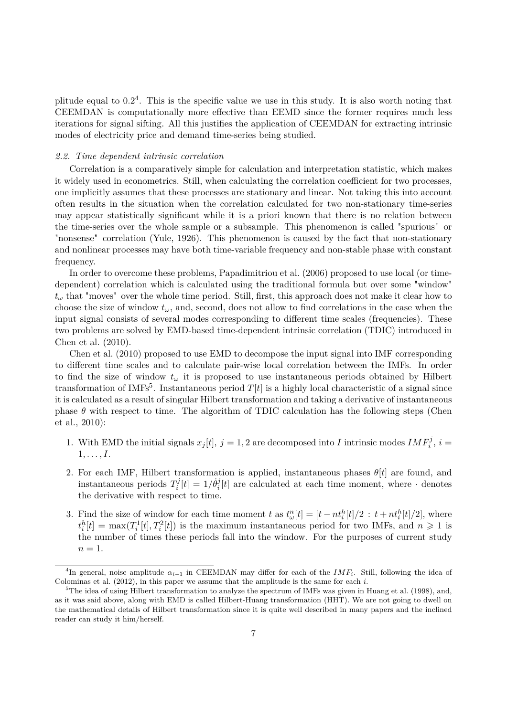plitude equal to  $0.2<sup>4</sup>$ . This is the specific value we use in this study. It is also worth noting that CEEMDAN is computationally more effective than EEMD since the former requires much less iterations for signal sifting. All this justifies the application of CEEMDAN for extracting intrinsic modes of electricity price and demand time-series being studied.

#### *2.2. Time dependent intrinsic correlation*

Correlation is a comparatively simple for calculation and interpretation statistic, which makes it widely used in econometrics. Still, when calculating the correlation coefficient for two processes, one implicitly assumes that these processes are stationary and linear. Not taking this into account often results in the situation when the correlation calculated for two non-stationary time-series may appear statistically significant while it is a priori known that there is no relation between the time-series over the whole sample or a subsample. This phenomenon is called "spurious" or "nonsense" correlation (Yule, 1926). This phenomenon is caused by the fact that non-stationary and nonlinear processes may have both time-variable frequency and non-stable phase with constant frequency.

In order to overcome these problems, Papadimitriou et al. (2006) proposed to use local (or timedependent) correlation which is calculated using the traditional formula but over some "window" *t<sup>ω</sup>* that "moves" over the whole time period. Still, first, this approach does not make it clear how to choose the size of window  $t_{\omega}$ , and, second, does not allow to find correlations in the case when the input signal consists of several modes corresponding to different time scales (frequencies). These two problems are solved by EMD-based time-dependent intrinsic correlation (TDIC) introduced in Chen et al. (2010).

Chen et al. (2010) proposed to use EMD to decompose the input signal into IMF corresponding to different time scales and to calculate pair-wise local correlation between the IMFs. In order to find the size of window  $t_{\omega}$  it is proposed to use instantaneous periods obtained by Hilbert transformation of IMFs<sup>5</sup>. Instantaneous period  $T[t]$  is a highly local characteristic of a signal since it is calculated as a result of singular Hilbert transformation and taking a derivative of instantaneous phase  $\theta$  with respect to time. The algorithm of TDIC calculation has the following steps (Chen et al., 2010):

- 1. With EMD the initial signals  $x_j[t]$ ,  $j = 1, 2$  are decomposed into *I* intrinsic modes  $IMF_i^j$ ,  $i =$ 1*, . . . , I*.
- 2. For each IMF, Hilbert transformation is applied, instantaneous phases  $\theta[t]$  are found, and instantaneous periods  $T_i^j$  $\frac{d}{i}[t] = 1/\dot{\theta}_i^j$  $i<sub>i</sub><sup>j</sup>[t]$  are calculated at each time moment, where  $\cdot$  denotes the derivative with respect to time.
- 3. Find the size of window for each time moment t as  $t_{\omega}^n[t] = [t nt_i^h[t]/2 : t + nt_i^h[t]/2]$ , where  $t_i^h[t] = \max(T_i^1[t], T_i^2[t])$  is the maximum instantaneous period for two IMFs, and  $n \geq 1$  is the number of times these periods fall into the window. For the purposes of current study  $n=1$ .

<sup>&</sup>lt;sup>4</sup>In general, noise amplitude  $\alpha_{i-1}$  in CEEMDAN may differ for each of the *IMF*<sup>*i*</sup>. Still, following the idea of Colominas et al. (2012), in this paper we assume that the amplitude is the same for each *i*.

<sup>&</sup>lt;sup>5</sup>The idea of using Hilbert transformation to analyze the spectrum of IMFs was given in Huang et al. (1998), and, as it was said above, along with EMD is called Hilbert-Huang transformation (HHT). We are not going to dwell on the mathematical details of Hilbert transformation since it is quite well described in many papers and the inclined reader can study it him/herself.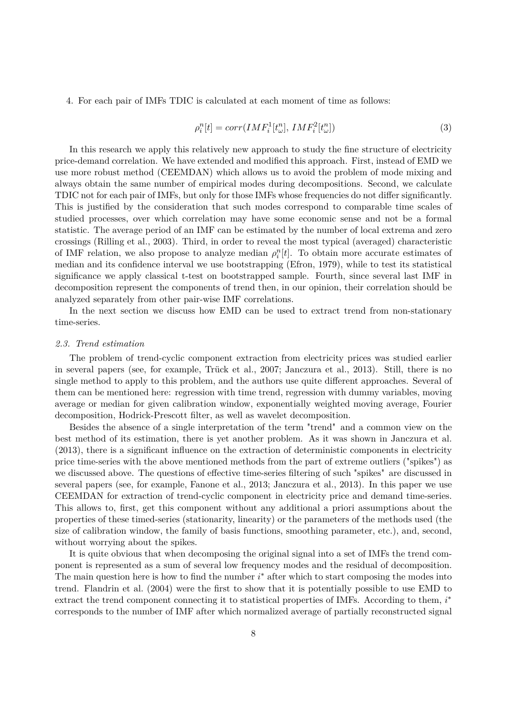## 4. For each pair of IMFs TDIC is calculated at each moment of time as follows:

$$
\rho_i^n[t] = corr(IMF_i^1[t_w^n], IMF_i^2[t_w^n])
$$
\n(3)

In this research we apply this relatively new approach to study the fine structure of electricity price-demand correlation. We have extended and modified this approach. First, instead of EMD we use more robust method (CEEMDAN) which allows us to avoid the problem of mode mixing and always obtain the same number of empirical modes during decompositions. Second, we calculate TDIC not for each pair of IMFs, but only for those IMFs whose frequencies do not differ significantly. This is justified by the consideration that such modes correspond to comparable time scales of studied processes, over which correlation may have some economic sense and not be a formal statistic. The average period of an IMF can be estimated by the number of local extrema and zero crossings (Rilling et al., 2003). Third, in order to reveal the most typical (averaged) characteristic of IMF relation, we also propose to analyze median  $\rho_i^n[t]$ . To obtain more accurate estimates of median and its confidence interval we use bootstrapping (Efron, 1979), while to test its statistical significance we apply classical t-test on bootstrapped sample. Fourth, since several last IMF in decomposition represent the components of trend then, in our opinion, their correlation should be analyzed separately from other pair-wise IMF correlations.

In the next section we discuss how EMD can be used to extract trend from non-stationary time-series.

## *2.3. Trend estimation*

The problem of trend-cyclic component extraction from electricity prices was studied earlier in several papers (see, for example, Trück et al., 2007; Janczura et al., 2013). Still, there is no single method to apply to this problem, and the authors use quite different approaches. Several of them can be mentioned here: regression with time trend, regression with dummy variables, moving average or median for given calibration window, exponentially weighted moving average, Fourier decomposition, Hodrick-Prescott filter, as well as wavelet decomposition.

Besides the absence of a single interpretation of the term "trend" and a common view on the best method of its estimation, there is yet another problem. As it was shown in Janczura et al. (2013), there is a significant influence on the extraction of deterministic components in electricity price time-series with the above mentioned methods from the part of extreme outliers ("spikes") as we discussed above. The questions of effective time-series filtering of such "spikes" are discussed in several papers (see, for example, Fanone et al., 2013; Janczura et al., 2013). In this paper we use CEEMDAN for extraction of trend-cyclic component in electricity price and demand time-series. This allows to, first, get this component without any additional a priori assumptions about the properties of these timed-series (stationarity, linearity) or the parameters of the methods used (the size of calibration window, the family of basis functions, smoothing parameter, etc.), and, second, without worrying about the spikes.

It is quite obvious that when decomposing the original signal into a set of IMFs the trend component is represented as a sum of several low frequency modes and the residual of decomposition. The main question here is how to find the number *i*<sup>\*</sup> after which to start composing the modes into trend. Flandrin et al. (2004) were the first to show that it is potentially possible to use EMD to extract the trend component connecting it to statistical properties of IMFs. According to them, *i*<sup>∗</sup> corresponds to the number of IMF after which normalized average of partially reconstructed signal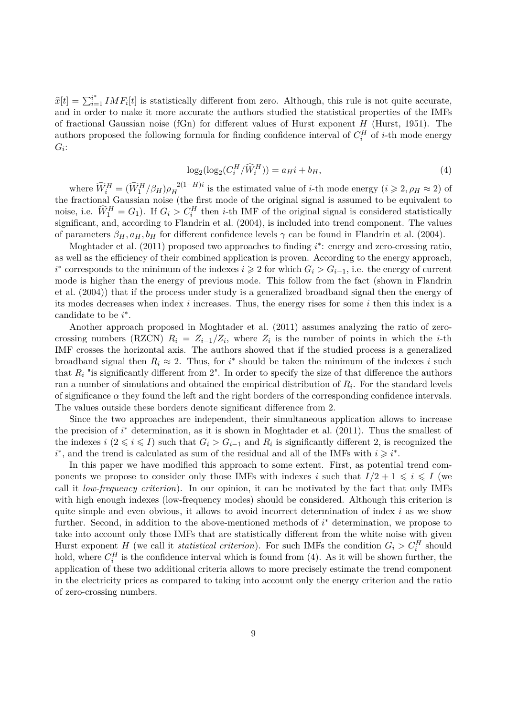$\hat{x}[t] = \sum_{i=1}^{i^*} IMF_i[t]$  is statistically different from zero. Although, this rule is not quite accurate, and in order to make it more accurate the authors studied the statistical properties of the IMFs of fractional Gaussian noise (fGn) for different values of Hurst exponent *H* (Hurst, 1951). The authors proposed the following formula for finding confidence interval of  $C_i^H$  of *i*-th mode energy *Gi* :

$$
\log_2(\log_2(C_i^H/\widehat{W}_i^H)) = a_{H}i + b_{H},\tag{4}
$$

where  $\widehat{W}_i^H = (\widehat{W}_1^H/\beta_H)\rho_H^{-2(1-H)i}$  is the estimated value of *i*-th mode energy  $(i \geq 2, \rho_H \approx 2)$  of the fractional Gaussian noise (the first mode of the original signal is assumed to be equivalent to noise, i.e.  $\widehat{W}_1^H = G_1$ ). If  $G_i > C_i^H$  then *i*-th IMF of the original signal is considered statistically significant, and, according to Flandrin et al. (2004), is included into trend component. The values of parameters  $\beta_H$ ,  $a_H$ ,  $b_H$  for different confidence levels  $\gamma$  can be found in Flandrin et al. (2004).

Moghtader et al. (2011) proposed two approaches to finding *i* ∗ : energy and zero-crossing ratio, as well as the efficiency of their combined application is proven. According to the energy approach,  $i^*$  corresponds to the minimum of the indexes  $i \geq 2$  for which  $G_i > G_{i-1}$ , i.e. the energy of current mode is higher than the energy of previous mode. This follow from the fact (shown in Flandrin et al. (2004)) that if the process under study is a generalized broadband signal then the energy of its modes decreases when index *i* increases. Thus, the energy rises for some *i* then this index is a candidate to be *i* ∗ .

Another approach proposed in Moghtader et al. (2011) assumes analyzing the ratio of zerocrossing numbers (RZCN)  $R_i = Z_{i-1}/Z_i$ , where  $Z_i$  is the number of points in which the *i*-th IMF crosses the horizontal axis. The authors showed that if the studied process is a generalized broadband signal then  $R_i \approx 2$ . Thus, for *i*<sup>\*</sup> should be taken the minimum of the indexes *i* such that  $R_i$  "is significantly different from  $2$ ". In order to specify the size of that difference the authors ran a number of simulations and obtained the empirical distribution of *R<sup>i</sup>* . For the standard levels of significance  $\alpha$  they found the left and the right borders of the corresponding confidence intervals. The values outside these borders denote significant difference from 2.

Since the two approaches are independent, their simultaneous application allows to increase the precision of *i*<sup>∗</sup> determination, as it is shown in Moghtader et al. (2011). Thus the smallest of the indexes  $i$  ( $2 \leq i \leq I$ ) such that  $G_i > G_{i-1}$  and  $R_i$  is significantly different 2, is recognized the  $i^*$ , and the trend is calculated as sum of the residual and all of the IMFs with  $i \geq i^*$ .

In this paper we have modified this approach to some extent. First, as potential trend components we propose to consider only those IMFs with indexes *i* such that  $I/2 + 1 \leq i \leq I$  (we call it *low-frequency criterion*). In our opinion, it can be motivated by the fact that only IMFs with high enough indexes (low-frequency modes) should be considered. Although this criterion is quite simple and even obvious, it allows to avoid incorrect determination of index *i* as we show further. Second, in addition to the above-mentioned methods of *i*<sup>∗</sup> determination, we propose to take into account only those IMFs that are statistically different from the white noise with given Hurst exponent *H* (we call it *statistical criterion*). For such IMFs the condition  $G_i > C_i^H$  should hold, where  $C_i^H$  is the confidence interval which is found from (4). As it will be shown further, the application of these two additional criteria allows to more precisely estimate the trend component in the electricity prices as compared to taking into account only the energy criterion and the ratio of zero-crossing numbers.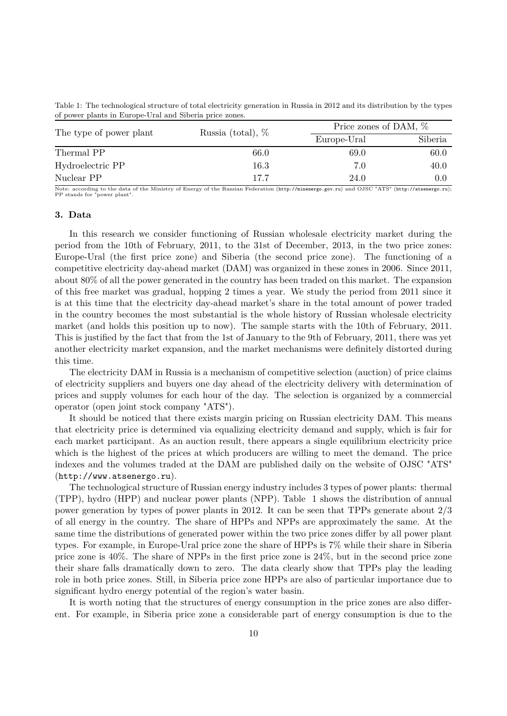| The type of power plant | Russia (total), $\%$ | Price zones of DAM, $\%$ |         |  |
|-------------------------|----------------------|--------------------------|---------|--|
|                         |                      | Europe-Ural              | Siberia |  |
| Thermal PP              | 66.0                 | 69.0                     | 60.0    |  |
| Hydroelectric PP        | 16.3                 | 7.0                      | 40.0    |  |
| Nuclear PP              | 17.7                 | 24.0                     | 0.0     |  |

Table 1: The technological structure of total electricity generation in Russia in 2012 and its distribution by the types of power plants in Europe-Ural and Siberia price zones.

Note: according to the data of the Ministry of Energy of the Russian Federation (http://minenergo.gov.ru) and OJSC "ATS" (http://atsenergo.ru); PP stands for "power plant".

## **3. Data**

In this research we consider functioning of Russian wholesale electricity market during the period from the 10th of February, 2011, to the 31st of December, 2013, in the two price zones: Europe-Ural (the first price zone) and Siberia (the second price zone). The functioning of a competitive electricity day-ahead market (DAM) was organized in these zones in 2006. Since 2011, about 80% of all the power generated in the country has been traded on this market. The expansion of this free market was gradual, hopping 2 times a year. We study the period from 2011 since it is at this time that the electricity day-ahead market's share in the total amount of power traded in the country becomes the most substantial is the whole history of Russian wholesale electricity market (and holds this position up to now). The sample starts with the 10th of February, 2011. This is justified by the fact that from the 1st of January to the 9th of February, 2011, there was yet another electricity market expansion, and the market mechanisms were definitely distorted during this time.

The electricity DAM in Russia is a mechanism of competitive selection (auction) of price claims of electricity suppliers and buyers one day ahead of the electricity delivery with determination of prices and supply volumes for each hour of the day. The selection is organized by a commercial operator (open joint stock company "ATS").

It should be noticed that there exists margin pricing on Russian electricity DAM. This means that electricity price is determined via equalizing electricity demand and supply, which is fair for each market participant. As an auction result, there appears a single equilibrium electricity price which is the highest of the prices at which producers are willing to meet the demand. The price indexes and the volumes traded at the DAM are published daily on the website of OJSC "ATS" (http://www.atsenergo.ru).

The technological structure of Russian energy industry includes 3 types of power plants: thermal (TPP), hydro (HPP) and nuclear power plants (NPP). Table 1 shows the distribution of annual power generation by types of power plants in 2012. It can be seen that TPPs generate about 2/3 of all energy in the country. The share of HPPs and NPPs are approximately the same. At the same time the distributions of generated power within the two price zones differ by all power plant types. For example, in Europe-Ural price zone the share of HPPs is 7% while their share in Siberia price zone is 40%. The share of NPPs in the first price zone is 24%, but in the second price zone their share falls dramatically down to zero. The data clearly show that TPPs play the leading role in both price zones. Still, in Siberia price zone HPPs are also of particular importance due to significant hydro energy potential of the region's water basin.

It is worth noting that the structures of energy consumption in the price zones are also different. For example, in Siberia price zone a considerable part of energy consumption is due to the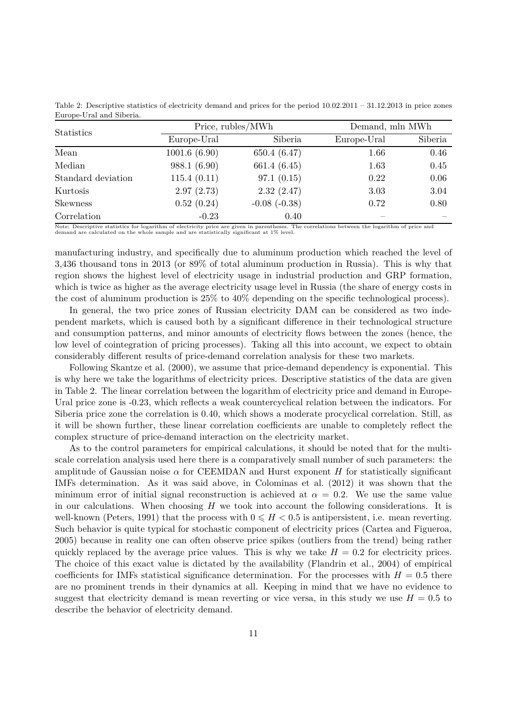| Statistics         | Price, rubles/MWh |                   | Demand, mln MWh |         |
|--------------------|-------------------|-------------------|-----------------|---------|
|                    | Europe-Ural       | Siberia           | Europe-Ural     | Siberia |
| Mean               | 1001.6(6.90)      | 650.4 (6.47)      | 1.66            | 0.46    |
| Median             | 988.1 (6.90)      | 661.4 $(6.45)$    | 1.63            | 0.45    |
| Standard deviation | 115.4(0.11)       | 97.1(0.15)        | 0.22            | 0.06    |
| Kurtosis           | 2.97(2.73)        | 2.32(2.47)        | 3.03            | 3.04    |
| <b>Skewness</b>    | 0.52(0.24)        | $-0.08$ $(-0.38)$ | 0.72            | 0.80    |
| Correlation        | $-0.23$           | 0.40              |                 |         |

Table 2: Descriptive statistics of electricity demand and prices for the period 10.02.2011 – 31.12.2013 in price zones Europe-Ural and Siberia.

Note: Descriptive statistics for logarithm of electricity price are given in parentheses. The correlations between the logarithm of price and demand are calculated on the whole sample and are statistically significant at 1% level.

manufacturing industry, and specifically due to aluminum production which reached the level of 3,436 thousand tons in 2013 (or 89% of total aluminum production in Russia). This is why that region shows the highest level of electricity usage in industrial production and GRP formation, which is twice as higher as the average electricity usage level in Russia (the share of energy costs in the cost of aluminum production is 25% to 40% depending on the specific technological process).

In general, the two price zones of Russian electricity DAM can be considered as two independent markets, which is caused both by a significant difference in their technological structure and consumption patterns, and minor amounts of electricity flows between the zones (hence, the low level of cointegration of pricing processes). Taking all this into account, we expect to obtain considerably different results of price-demand correlation analysis for these two markets.

Following Skantze et al. (2000), we assume that price-demand dependency is exponential. This is why here we take the logarithms of electricity prices. Descriptive statistics of the data are given in Table 2. The linear correlation between the logarithm of electricity price and demand in Europe-Ural price zone is -0.23, which reflects a weak countercyclical relation between the indicators. For Siberia price zone the correlation is 0.40, which shows a moderate procyclical correlation. Still, as it will be shown further, these linear correlation coefficients are unable to completely reflect the complex structure of price-demand interaction on the electricity market.

As to the control parameters for empirical calculations, it should be noted that for the multiscale correlation analysis used here there is a comparatively small number of such parameters: the amplitude of Gaussian noise  $\alpha$  for CEEMDAN and Hurst exponent *H* for statistically significant IMFs determination. As it was said above, in Colominas et al. (2012) it was shown that the minimum error of initial signal reconstruction is achieved at  $\alpha = 0.2$ . We use the same value in our calculations. When choosing *H* we took into account the following considerations. It is well-known (Peters, 1991) that the process with  $0 \leq H < 0.5$  is antipersistent, i.e. mean reverting. Such behavior is quite typical for stochastic component of electricity prices (Cartea and Figueroa, 2005) because in reality one can often observe price spikes (outliers from the trend) being rather quickly replaced by the average price values. This is why we take  $H = 0.2$  for electricity prices. The choice of this exact value is dictated by the availability (Flandrin et al., 2004) of empirical coefficients for IMFs statistical significance determination. For the processes with  $H = 0.5$  there are no prominent trends in their dynamics at all. Keeping in mind that we have no evidence to suggest that electricity demand is mean reverting or vice versa, in this study we use  $H = 0.5$  to describe the behavior of electricity demand.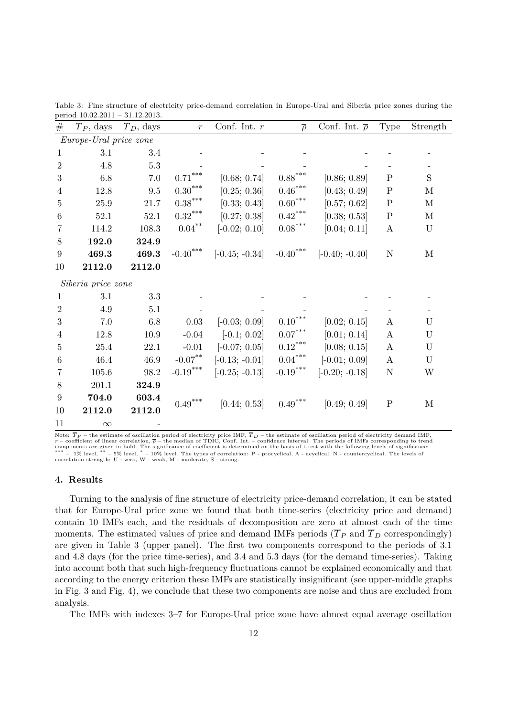| $^{\#}$                | $\overline{T}_P$ , days | $\overline{T}_D,$ days | $\boldsymbol{r}$       | Conf. Int. $r$   | $\overline{\rho}$      | Conf. Int. $\bar{\rho}$ | Type             | Strength     |
|------------------------|-------------------------|------------------------|------------------------|------------------|------------------------|-------------------------|------------------|--------------|
| Europe-Ural price zone |                         |                        |                        |                  |                        |                         |                  |              |
| 1                      | 3.1                     | 3.4                    |                        |                  |                        |                         |                  |              |
| $\overline{2}$         | 4.8                     | 5.3                    |                        |                  |                        |                         |                  |              |
| 3                      | 6.8                     | 7.0                    | $0.71^{\ast\ast\ast}$  | [0.68; 0.74]     | $0.88^{\ast\ast\ast}$  | [0.86; 0.89]            | $\mathbf P$      | $\mathbf S$  |
| $\overline{4}$         | 12.8                    | $\,9.5$                | $0.30^{\ast\ast\ast}$  | [0.25; 0.36]     | $0.46^{***}\,$         | [0.43; 0.49]            | $\mathbf{P}$     | $\mathbf{M}$ |
| $\overline{5}$         | 25.9                    | $21.7\,$               | $0.38^{***}\,$         | [0.33; 0.43]     | $0.60^{***}\,$         | [0.57; 0.62]            | $\mathbf P$      | $\mathbf M$  |
| $\,6\,$                | 52.1                    | $52.1\,$               | $0.32^{\ast\ast\ast}$  | [0.27; 0.38]     | $0.42^{\ast\ast\ast}$  | [0.38; 0.53]            | ${\bf P}$        | M            |
| $\overline{7}$         | 114.2                   | 108.3                  | $0.04^{**}$            | $[-0.02; 0.10]$  | $0.08^{***}\,$         | [0.04; 0.11]            | $\boldsymbol{A}$ | U            |
| $8\,$                  | 192.0                   | 324.9                  |                        |                  |                        |                         |                  |              |
| $\boldsymbol{9}$       | 469.3                   | 469.3                  | $\textbf{-0.40}^{***}$ | $[-0.45; -0.34]$ | $\textbf{-0.40}^{***}$ | $[-0.40; -0.40]$        | $\mathbf N$      | $\mathbf M$  |
| 10                     | 2112.0                  | 2112.0                 |                        |                  |                        |                         |                  |              |
| Siberia price zone     |                         |                        |                        |                  |                        |                         |                  |              |
| 1                      | 3.1                     | 3.3                    |                        |                  |                        |                         |                  |              |
| $\overline{2}$         | $4.9\,$                 | 5.1                    |                        |                  |                        |                         |                  |              |
| 3                      | 7.0                     | 6.8                    | 0.03                   | $[-0.03; 0.09]$  | $0.10^{***}\,$         | [0.02; 0.15]            | $\boldsymbol{A}$ | U            |
| $\overline{4}$         | 12.8                    | 10.9                   | $-0.04$                | $[-0.1; 0.02]$   | $0.07\sp{*}^{***}$     | [0.01; 0.14]            | $\boldsymbol{A}$ | U            |
| $\overline{5}$         | 25.4                    | 22.1                   | $-0.01$                | $[-0.07; 0.05]$  | $0.12^{\ast\ast\ast}$  | [0.08; 0.15]            | $\boldsymbol{A}$ | U            |
| $\,6\,$                | 46.4                    | 46.9                   | $-0.07***$             | $[-0.13; -0.01]$ | $0.04^{***}\,$         | $[-0.01; 0.09]$         | $\boldsymbol{A}$ | U            |
| 7                      | $105.6\,$               | $98.2\,$               | $-0.19***$             | $[-0.25; -0.13]$ | $-0.19***$             | $[-0.20; -0.18]$        | $\mathbf N$      | W            |
| $8\,$                  | 201.1                   | 324.9                  |                        |                  |                        |                         |                  |              |
| $\boldsymbol{9}$       | 704.0                   | 603.4                  | $0.49^{***}\,$         |                  | $0.49^{***}\,$         |                         |                  |              |
| 10                     | 2112.0                  | 2112.0                 |                        | [0.44; 0.53]     |                        | [0.49; 0.49]            | $\mathbf P$      | $\mathbf M$  |
| 11                     | $\infty$                |                        |                        |                  |                        |                         |                  |              |

Table 3: Fine structure of electricity price-demand correlation in Europe-Ural and Siberia price zones during the period 10.02.2011 – 31.12.2013.

Note:  $T_P$  – the estimate of oscillation period of electricity price IMF,  $T_D$  – the estimate of oscillation period of electricity demand IMF,<br> $r$ - coefficient of linear correlation,  $\bar{\rho}$  – the median of TDIC, Conf. In correlation strength: U - zero, W - weak, M - moderate, S - strong.

## **4. Results**

Turning to the analysis of fine structure of electricity price-demand correlation, it can be stated that for Europe-Ural price zone we found that both time-series (electricity price and demand) contain 10 IMFs each, and the residuals of decomposition are zero at almost each of the time moments. The estimated values of price and demand IMFs periods  $(\overline{T}_P \text{ and } \overline{T}_D \text{ correspondingly})$ are given in Table 3 (upper panel). The first two components correspond to the periods of 3.1 and 4.8 days (for the price time-series), and 3.4 and 5.3 days (for the demand time-series). Taking into account both that such high-frequency fluctuations cannot be explained economically and that according to the energy criterion these IMFs are statistically insignificant (see upper-middle graphs in Fig. 3 and Fig. 4), we conclude that these two components are noise and thus are excluded from analysis.

The IMFs with indexes 3–7 for Europe-Ural price zone have almost equal average oscillation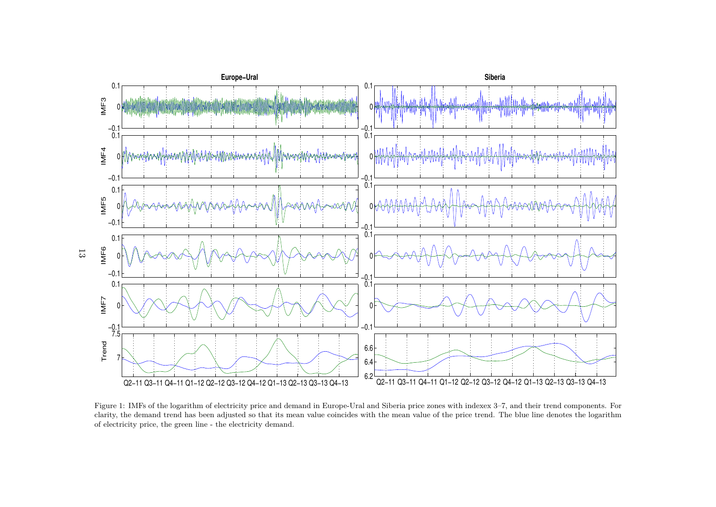

Figure 1: IMFs of the logarithm of electricity price and demand in Europe-Ural and Siberia price zones with indexex 3–7, and their trend components. For clarity, the demand trend has been adjusted so that its mean value coincides with the mean value of the price trend. The blue line denotes the logarithmof electricity price, the green line - the electricity demand.

13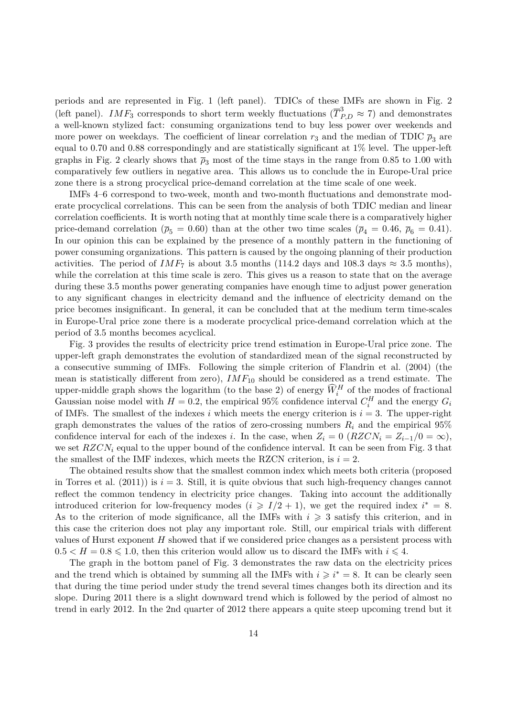periods and are represented in Fig. 1 (left panel). TDICs of these IMFs are shown in Fig. 2 (left panel). *IMF*<sub>3</sub> corresponds to short term weekly fluctuations  $(\overline{T}_{P,D}^3 \approx 7)$  and demonstrates a well-known stylized fact: consuming organizations tend to buy less power over weekends and more power on weekdays. The coefficient of linear correlation  $r_3$  and the median of TDIC  $\bar{\rho}_3$  are equal to 0.70 and 0.88 correspondingly and are statistically significant at 1% level. The upper-left graphs in Fig. 2 clearly shows that  $\bar{\rho}_3$  most of the time stays in the range from 0.85 to 1.00 with comparatively few outliers in negative area. This allows us to conclude the in Europe-Ural price zone there is a strong procyclical price-demand correlation at the time scale of one week.

IMFs 4–6 correspond to two-week, month and two-month fluctuations and demonstrate moderate procyclical correlations. This can be seen from the analysis of both TDIC median and linear correlation coefficients. It is worth noting that at monthly time scale there is a comparatively higher price-demand correlation ( $\bar{\rho}_5 = 0.60$ ) than at the other two time scales ( $\bar{\rho}_4 = 0.46$ ,  $\bar{\rho}_6 = 0.41$ ). In our opinion this can be explained by the presence of a monthly pattern in the functioning of power consuming organizations. This pattern is caused by the ongoing planning of their production activities. The period of *IMF*<sub>7</sub> is about 3.5 months (114.2 days and 108.3 days  $\approx 3.5$  months), while the correlation at this time scale is zero. This gives us a reason to state that on the average during these 3.5 months power generating companies have enough time to adjust power generation to any significant changes in electricity demand and the influence of electricity demand on the price becomes insignificant. In general, it can be concluded that at the medium term time-scales in Europe-Ural price zone there is a moderate procyclical price-demand correlation which at the period of 3.5 months becomes acyclical.

Fig. 3 provides the results of electricity price trend estimation in Europe-Ural price zone. The upper-left graph demonstrates the evolution of standardized mean of the signal reconstructed by a consecutive summing of IMFs. Following the simple criterion of Flandrin et al. (2004) (the mean is statistically different from zero),  $IMF_{10}$  should be considered as a trend estimate. The upper-middle graph shows the logarithm (to the base 2) of energy  $\widehat{W}_i^H$  of the modes of fractional Gaussian noise model with  $H = 0.2$ , the empirical 95% confidence interval  $C_i^H$  and the energy  $G_i$ of IMFs. The smallest of the indexes *i* which meets the energy criterion is  $i = 3$ . The upper-right graph demonstrates the values of the ratios of zero-crossing numbers  $R_i$  and the empirical 95% confidence interval for each of the indexes *i*. In the case, when  $Z_i = 0$  ( $RZCN_i = Z_{i-1}/0 = \infty$ ), we set  $RZCN_i$  equal to the upper bound of the confidence interval. It can be seen from Fig. 3 that the smallest of the IMF indexes, which meets the RZCN criterion, is  $i = 2$ .

The obtained results show that the smallest common index which meets both criteria (proposed in Torres et al.  $(2011)$  is  $i = 3$ . Still, it is quite obvious that such high-frequency changes cannot reflect the common tendency in electricity price changes. Taking into account the additionally introduced criterion for low-frequency modes  $(i \geq l/2 + 1)$ , we get the required index  $i^* = 8$ . As to the criterion of mode significance, all the IMFs with  $i \geqslant 3$  satisfy this criterion, and in this case the criterion does not play any important role. Still, our empirical trials with different values of Hurst exponent *H* showed that if we considered price changes as a persistent process with  $0.5 < H = 0.8 \leq 1.0$ , then this criterion would allow us to discard the IMFs with  $i \leq 4$ .

The graph in the bottom panel of Fig. 3 demonstrates the raw data on the electricity prices and the trend which is obtained by summing all the IMFs with  $i \geq i^* = 8$ . It can be clearly seen that during the time period under study the trend several times changes both its direction and its slope. During 2011 there is a slight downward trend which is followed by the period of almost no trend in early 2012. In the 2nd quarter of 2012 there appears a quite steep upcoming trend but it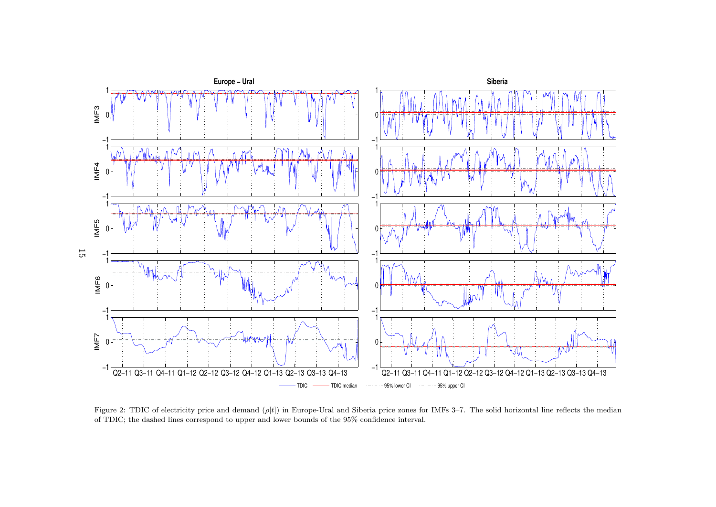

Figure 2: TDIC of electricity price and demand  $(\rho[t])$  in Europe-Ural and Siberia price zones for IMFs 3–7. The solid horizontal line reflects the median of TDIC; the dashed lines correspond to upper and lower bounds of the 95% confidence interval.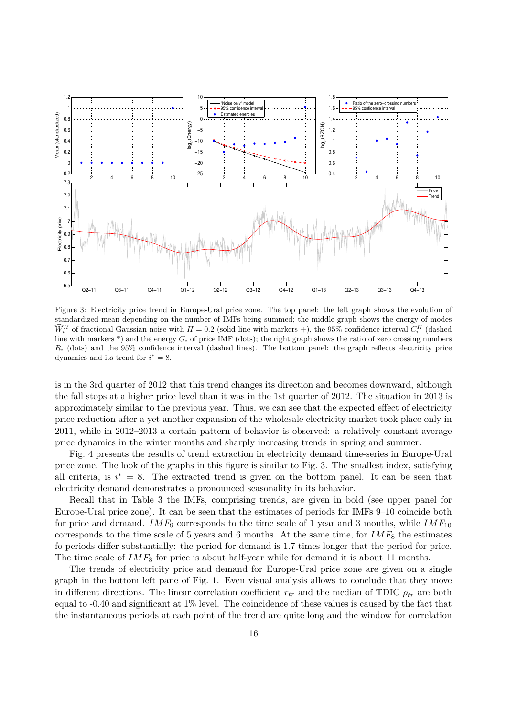

Figure 3: Electricity price trend in Europe-Ural price zone. The top panel: the left graph shows the evolution of standardized mean depending on the number of IMFs being summed; the middle graph shows the energy of modes  $\widehat{W}_i^H$  of fractional Gaussian noise with  $H = 0.2$  (solid line with markers +), the 95% confidence interval  $C_i^H$  (dashed line with markers \*) and the energy  $G_i$  of price IMF (dots); the right graph shows the ratio of zero crossing numbers  $R_i$  (dots) and the 95% confidence interval (dashed lines). The bottom panel: the graph reflects electricity price dynamics and its trend for  $i^* = 8$ .

is in the 3rd quarter of 2012 that this trend changes its direction and becomes downward, although the fall stops at a higher price level than it was in the 1st quarter of 2012. The situation in 2013 is approximately similar to the previous year. Thus, we can see that the expected effect of electricity price reduction after a yet another expansion of the wholesale electricity market took place only in 2011, while in 2012–2013 a certain pattern of behavior is observed: a relatively constant average price dynamics in the winter months and sharply increasing trends in spring and summer.

Fig. 4 presents the results of trend extraction in electricity demand time-series in Europe-Ural price zone. The look of the graphs in this figure is similar to Fig. 3. The smallest index, satisfying all criteria, is  $i^* = 8$ . The extracted trend is given on the bottom panel. It can be seen that electricity demand demonstrates a pronounced seasonality in its behavior.

Recall that in Table 3 the IMFs, comprising trends, are given in bold (see upper panel for Europe-Ural price zone). It can be seen that the estimates of periods for IMFs 9–10 coincide both for price and demand.  $IMF_9$  corresponds to the time scale of 1 year and 3 months, while  $IMF_{10}$ corresponds to the time scale of 5 years and 6 months. At the same time, for  $IMF_8$  the estimates fo periods differ substantially: the period for demand is 1.7 times longer that the period for price. The time scale of *IMF*<sub>8</sub> for price is about half-year while for demand it is about 11 months.

The trends of electricity price and demand for Europe-Ural price zone are given on a single graph in the bottom left pane of Fig. 1. Even visual analysis allows to conclude that they move in different directions. The linear correlation coefficient  $r_{tr}$  and the median of TDIC  $\bar{\rho}_{tr}$  are both equal to -0.40 and significant at 1% level. The coincidence of these values is caused by the fact that the instantaneous periods at each point of the trend are quite long and the window for correlation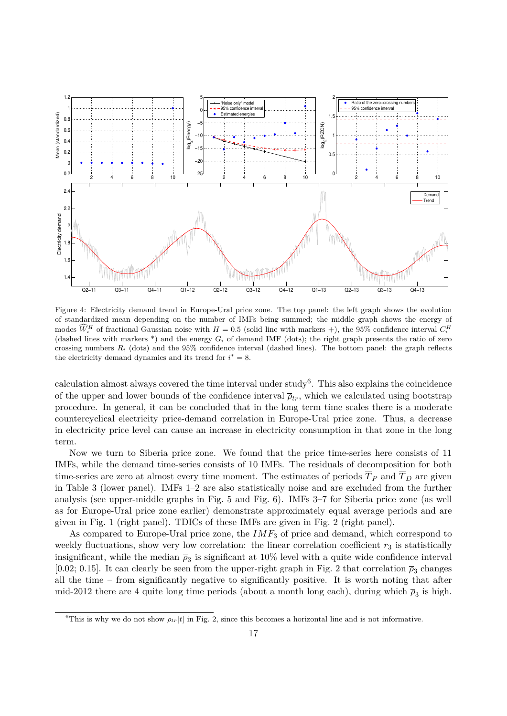

Figure 4: Electricity demand trend in Europe-Ural price zone. The top panel: the left graph shows the evolution of standardized mean depending on the number of IMFs being summed; the middle graph shows the energy of modes  $\widehat{W}_i^H$  of fractional Gaussian noise with  $H = 0.5$  (solid line with markers +), the 95% confidence interval  $C_i^H$ (dashed lines with markers  $*$ ) and the energy  $G_i$  of demand IMF (dots); the right graph presents the ratio of zero crossing numbers  $R_i$  (dots) and the 95% confidence interval (dashed lines). The bottom panel: the graph reflects the electricity demand dynamics and its trend for  $i^* = 8$ .

calculation almost always covered the time interval under study<sup>6</sup>. This also explains the coincidence of the upper and lower bounds of the confidence interval  $\bar{\rho}_{tr}$ , which we calculated using bootstrap procedure. In general, it can be concluded that in the long term time scales there is a moderate countercyclical electricity price-demand correlation in Europe-Ural price zone. Thus, a decrease in electricity price level can cause an increase in electricity consumption in that zone in the long term.

Now we turn to Siberia price zone. We found that the price time-series here consists of 11 IMFs, while the demand time-series consists of 10 IMFs. The residuals of decomposition for both time-series are zero at almost every time moment. The estimates of periods  $\overline{T}_P$  and  $\overline{T}_D$  are given in Table 3 (lower panel). IMFs 1–2 are also statistically noise and are excluded from the further analysis (see upper-middle graphs in Fig. 5 and Fig. 6). IMFs 3–7 for Siberia price zone (as well as for Europe-Ural price zone earlier) demonstrate approximately equal average periods and are given in Fig. 1 (right panel). TDICs of these IMFs are given in Fig. 2 (right panel).

As compared to Europe-Ural price zone, the  $IMF_3$  of price and demand, which correspond to weekly fluctuations, show very low correlation: the linear correlation coefficient  $r<sub>3</sub>$  is statistically insignificant, while the median  $\bar{\rho}_3$  is significant at 10% level with a quite wide confidence interval [0.02; 0.15]. It can clearly be seen from the upper-right graph in Fig. 2 that correlation  $\bar{\rho}_3$  changes all the time – from significantly negative to significantly positive. It is worth noting that after mid-2012 there are 4 quite long time periods (about a month long each), during which  $\bar{\rho}_3$  is high.

<sup>&</sup>lt;sup>6</sup>This is why we do not show  $\rho_{tr}[t]$  in Fig. 2, since this becomes a horizontal line and is not informative.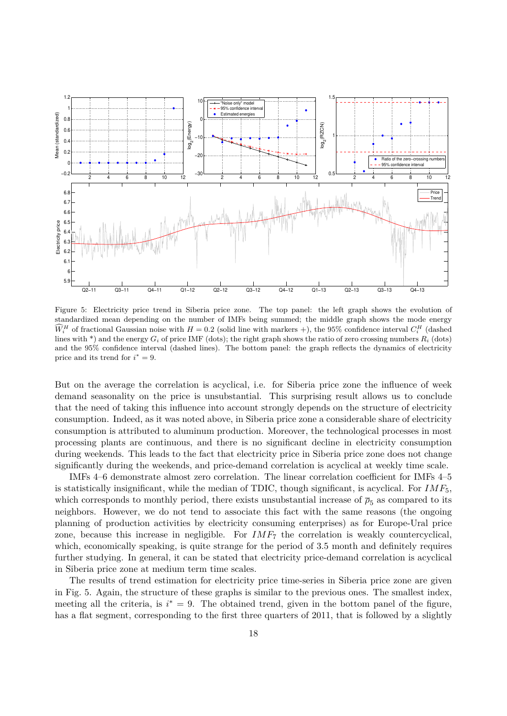

Figure 5: Electricity price trend in Siberia price zone. The top panel: the left graph shows the evolution of standardized mean depending on the number of IMFs being summed; the middle graph shows the mode energy  $\widehat{W}_i^H$  of fractional Gaussian noise with  $H = 0.2$  (solid line with markers +), the 95% confidence interval  $C_i^H$  (dashed lines with \*) and the energy  $G_i$  of price IMF (dots); the right graph shows the ratio of zero crossing numbers  $R_i$  (dots) and the 95% confidence interval (dashed lines). The bottom panel: the graph reflects the dynamics of electricity price and its trend for  $i^* = 9$ .

But on the average the correlation is acyclical, i.e. for Siberia price zone the influence of week demand seasonality on the price is unsubstantial. This surprising result allows us to conclude that the need of taking this influence into account strongly depends on the structure of electricity consumption. Indeed, as it was noted above, in Siberia price zone a considerable share of electricity consumption is attributed to aluminum production. Moreover, the technological processes in most processing plants are continuous, and there is no significant decline in electricity consumption during weekends. This leads to the fact that electricity price in Siberia price zone does not change significantly during the weekends, and price-demand correlation is acyclical at weekly time scale.

IMFs 4–6 demonstrate almost zero correlation. The linear correlation coefficient for IMFs 4–5 is statistically insignificant, while the median of TDIC, though significant, is acyclical. For *IMF*5, which corresponds to monthly period, there exists unsubstantial increase of  $\bar{\rho}_5$  as compared to its neighbors. However, we do not tend to associate this fact with the same reasons (the ongoing planning of production activities by electricity consuming enterprises) as for Europe-Ural price zone, because this increase in negligible. For  $IMF<sub>7</sub>$  the correlation is weakly countercyclical, which, economically speaking, is quite strange for the period of 3.5 month and definitely requires further studying. In general, it can be stated that electricity price-demand correlation is acyclical in Siberia price zone at medium term time scales.

The results of trend estimation for electricity price time-series in Siberia price zone are given in Fig. 5. Again, the structure of these graphs is similar to the previous ones. The smallest index, meeting all the criteria, is  $i^* = 9$ . The obtained trend, given in the bottom panel of the figure, has a flat segment, corresponding to the first three quarters of 2011, that is followed by a slightly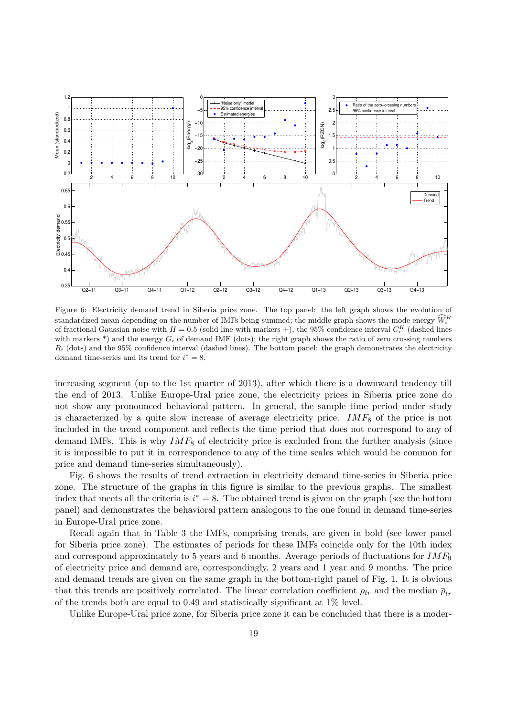

Figure 6: Electricity demand trend in Siberia price zone. The top panel: the left graph shows the evolution of standardized mean depending on the number of IMFs being summed; the middle graph shows the mode energy  $\widehat{W}_i^H$ of fractional Gaussian noise with  $H = 0.5$  (solid line with markers +), the 95% confidence interval  $C_i^H$  (dashed lines with markers  $*$ ) and the energy  $G_i$  of demand IMF (dots); the right graph shows the ratio of zero crossing numbers  $R_i$  (dots) and the 95% confidence interval (dashed lines). The bottom panel: the graph demonstrates the electricity demand time-series and its trend for  $i^* = 8$ .

increasing segment (up to the 1st quarter of 2013), after which there is a downward tendency till the end of 2013. Unlike Europe-Ural price zone, the electricity prices in Siberia price zone do not show any pronounced behavioral pattern. In general, the sample time period under study is characterized by a quite slow increase of average electricity price.  $IMF_8$  of the price is not included in the trend component and reflects the time period that does not correspond to any of demand IMFs. This is why  $IMF_8$  of electricity price is excluded from the further analysis (since it is impossible to put it in correspondence to any of the time scales which would be common for price and demand time-series simultaneously).

Fig. 6 shows the results of trend extraction in electricity demand time-series in Siberia price zone. The structure of the graphs in this figure is similar to the previous graphs. The smallest index that meets all the criteria is  $i^* = 8$ . The obtained trend is given on the graph (see the bottom panel) and demonstrates the behavioral pattern analogous to the one found in demand time-series in Europe-Ural price zone.

Recall again that in Table 3 the IMFs, comprising trends, are given in bold (see lower panel for Siberia price zone). The estimates of periods for these IMFs coincide only for the 10th index and correspond approximately to 5 years and 6 months. Average periods of fluctuations for *IMF*<sup>9</sup> of electricity price and demand are, correspondingly, 2 years and 1 year and 9 months. The price and demand trends are given on the same graph in the bottom-right panel of Fig. 1. It is obvious that this trends are positively correlated. The linear correlation coefficient  $\rho_{tr}$  and the median  $\bar{\rho}_{tr}$ of the trends both are equal to 0.49 and statistically significant at 1% level.

Unlike Europe-Ural price zone, for Siberia price zone it can be concluded that there is a moder-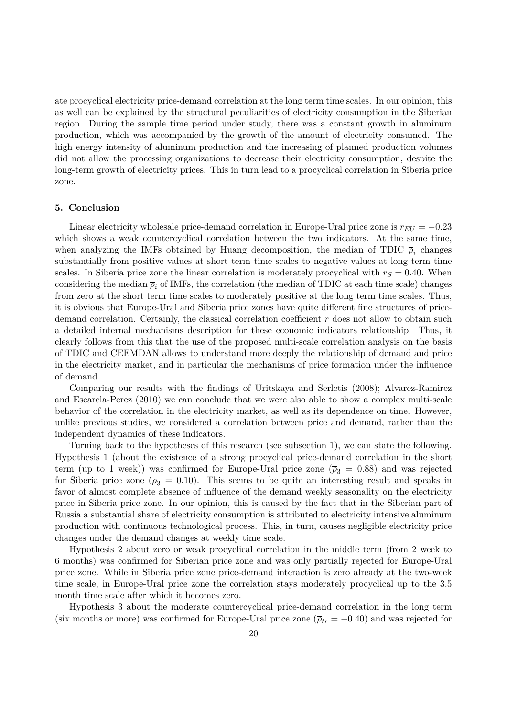ate procyclical electricity price-demand correlation at the long term time scales. In our opinion, this as well can be explained by the structural peculiarities of electricity consumption in the Siberian region. During the sample time period under study, there was a constant growth in aluminum production, which was accompanied by the growth of the amount of electricity consumed. The high energy intensity of aluminum production and the increasing of planned production volumes did not allow the processing organizations to decrease their electricity consumption, despite the long-term growth of electricity prices. This in turn lead to a procyclical correlation in Siberia price zone.

## **5. Conclusion**

Linear electricity wholesale price-demand correlation in Europe-Ural price zone is  $r_{EU} = -0.23$ which shows a weak countercyclical correlation between the two indicators. At the same time, when analyzing the IMFs obtained by Huang decomposition, the median of TDIC  $\bar{p}_i$  changes substantially from positive values at short term time scales to negative values at long term time scales. In Siberia price zone the linear correlation is moderately procyclical with  $r<sub>S</sub> = 0.40$ . When considering the median  $\bar{\rho}_i$  of IMFs, the correlation (the median of TDIC at each time scale) changes from zero at the short term time scales to moderately positive at the long term time scales. Thus, it is obvious that Europe-Ural and Siberia price zones have quite different fine structures of pricedemand correlation. Certainly, the classical correlation coefficient *r* does not allow to obtain such a detailed internal mechanisms description for these economic indicators relationship. Thus, it clearly follows from this that the use of the proposed multi-scale correlation analysis on the basis of TDIC and CEEMDAN allows to understand more deeply the relationship of demand and price in the electricity market, and in particular the mechanisms of price formation under the influence of demand.

Comparing our results with the findings of Uritskaya and Serletis (2008); Alvarez-Ramirez and Escarela-Perez (2010) we can conclude that we were also able to show a complex multi-scale behavior of the correlation in the electricity market, as well as its dependence on time. However, unlike previous studies, we considered a correlation between price and demand, rather than the independent dynamics of these indicators.

Turning back to the hypotheses of this research (see subsection 1), we can state the following. Hypothesis 1 (about the existence of a strong procyclical price-demand correlation in the short term (up to 1 week)) was confirmed for Europe-Ural price zone ( $\bar{\rho}_3$  = 0.88) and was rejected for Siberia price zone ( $\bar{\rho}_3$  = 0.10). This seems to be quite an interesting result and speaks in favor of almost complete absence of influence of the demand weekly seasonality on the electricity price in Siberia price zone. In our opinion, this is caused by the fact that in the Siberian part of Russia a substantial share of electricity consumption is attributed to electricity intensive aluminum production with continuous technological process. This, in turn, causes negligible electricity price changes under the demand changes at weekly time scale.

Hypothesis 2 about zero or weak procyclical correlation in the middle term (from 2 week to 6 months) was confirmed for Siberian price zone and was only partially rejected for Europe-Ural price zone. While in Siberia price zone price-demand interaction is zero already at the two-week time scale, in Europe-Ural price zone the correlation stays moderately procyclical up to the 3.5 month time scale after which it becomes zero.

Hypothesis 3 about the moderate countercyclical price-demand correlation in the long term (six months or more) was confirmed for Europe-Ural price zone ( $\bar{\rho}_{tr} = -0.40$ ) and was rejected for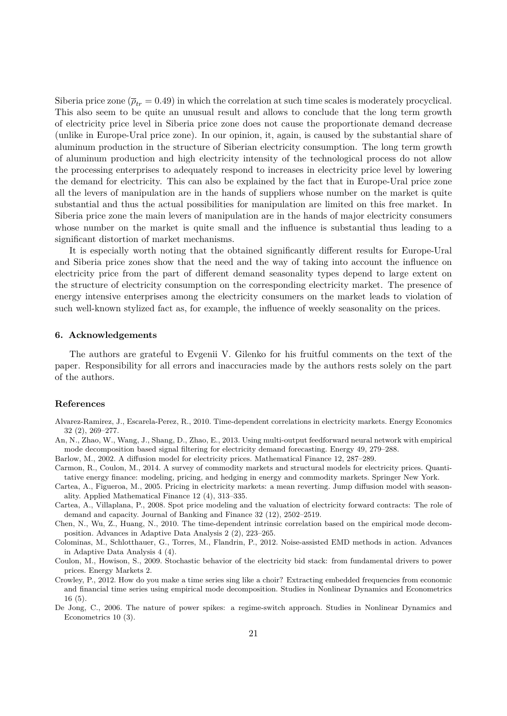Siberia price zone ( $\bar{\rho}_{tr} = 0.49$ ) in which the correlation at such time scales is moderately procyclical. This also seem to be quite an unusual result and allows to conclude that the long term growth of electricity price level in Siberia price zone does not cause the proportionate demand decrease (unlike in Europe-Ural price zone). In our opinion, it, again, is caused by the substantial share of aluminum production in the structure of Siberian electricity consumption. The long term growth of aluminum production and high electricity intensity of the technological process do not allow the processing enterprises to adequately respond to increases in electricity price level by lowering the demand for electricity. This can also be explained by the fact that in Europe-Ural price zone all the levers of manipulation are in the hands of suppliers whose number on the market is quite substantial and thus the actual possibilities for manipulation are limited on this free market. In Siberia price zone the main levers of manipulation are in the hands of major electricity consumers whose number on the market is quite small and the influence is substantial thus leading to a significant distortion of market mechanisms.

It is especially worth noting that the obtained significantly different results for Europe-Ural and Siberia price zones show that the need and the way of taking into account the influence on electricity price from the part of different demand seasonality types depend to large extent on the structure of electricity consumption on the corresponding electricity market. The presence of energy intensive enterprises among the electricity consumers on the market leads to violation of such well-known stylized fact as, for example, the influence of weekly seasonality on the prices.

## **6. Acknowledgements**

The authors are grateful to Evgenii V. Gilenko for his fruitful comments on the text of the paper. Responsibility for all errors and inaccuracies made by the authors rests solely on the part of the authors.

## **References**

- Alvarez-Ramirez, J., Escarela-Perez, R., 2010. Time-dependent correlations in electricity markets. Energy Economics 32 (2), 269–277.
- An, N., Zhao, W., Wang, J., Shang, D., Zhao, E., 2013. Using multi-output feedforward neural network with empirical mode decomposition based signal filtering for electricity demand forecasting. Energy 49, 279–288.
- Barlow, M., 2002. A diffusion model for electricity prices. Mathematical Finance 12, 287–289.
- Carmon, R., Coulon, M., 2014. A survey of commodity markets and structural models for electricity prices. Quantitative energy finance: modeling, pricing, and hedging in energy and commodity markets. Springer New York.
- Cartea, A., Figueroa, M., 2005. Pricing in electricity markets: a mean reverting. Jump diffusion model with seasonality. Applied Mathematical Finance 12 (4), 313–335.
- Cartea, A., Villaplana, P., 2008. Spot price modeling and the valuation of electricity forward contracts: The role of demand and capacity. Journal of Banking and Finance 32 (12), 2502–2519.
- Chen, N., Wu, Z., Huang, N., 2010. The time-dependent intrinsic correlation based on the empirical mode decomposition. Advances in Adaptive Data Analysis 2 (2), 223–265.
- Colominas, M., Schlotthauer, G., Torres, M., Flandrin, P., 2012. Noise-assisted EMD methods in action. Advances in Adaptive Data Analysis 4 (4).
- Coulon, M., Howison, S., 2009. Stochastic behavior of the electricity bid stack: from fundamental drivers to power prices. Energy Markets 2.
- Crowley, P., 2012. How do you make a time series sing like a choir? Extracting embedded frequencies from economic and financial time series using empirical mode decomposition. Studies in Nonlinear Dynamics and Econometrics 16 (5).
- De Jong, C., 2006. The nature of power spikes: a regime-switch approach. Studies in Nonlinear Dynamics and Econometrics 10 (3).